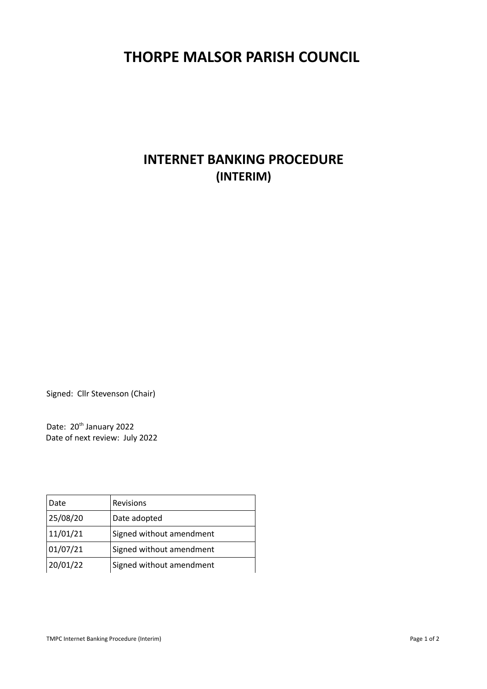## **THORPE MALSOR PARISH COUNCIL**

## **INTERNET BANKING PROCEDURE (INTERIM)**

Signed: Cllr Stevenson (Chair)

Date: 20<sup>th</sup> January 2022 Date of next review: July 2022

| Date     | Revisions                |
|----------|--------------------------|
| 25/08/20 | Date adopted             |
| 11/01/21 | Signed without amendment |
| 01/07/21 | Signed without amendment |
| 20/01/22 | Signed without amendment |